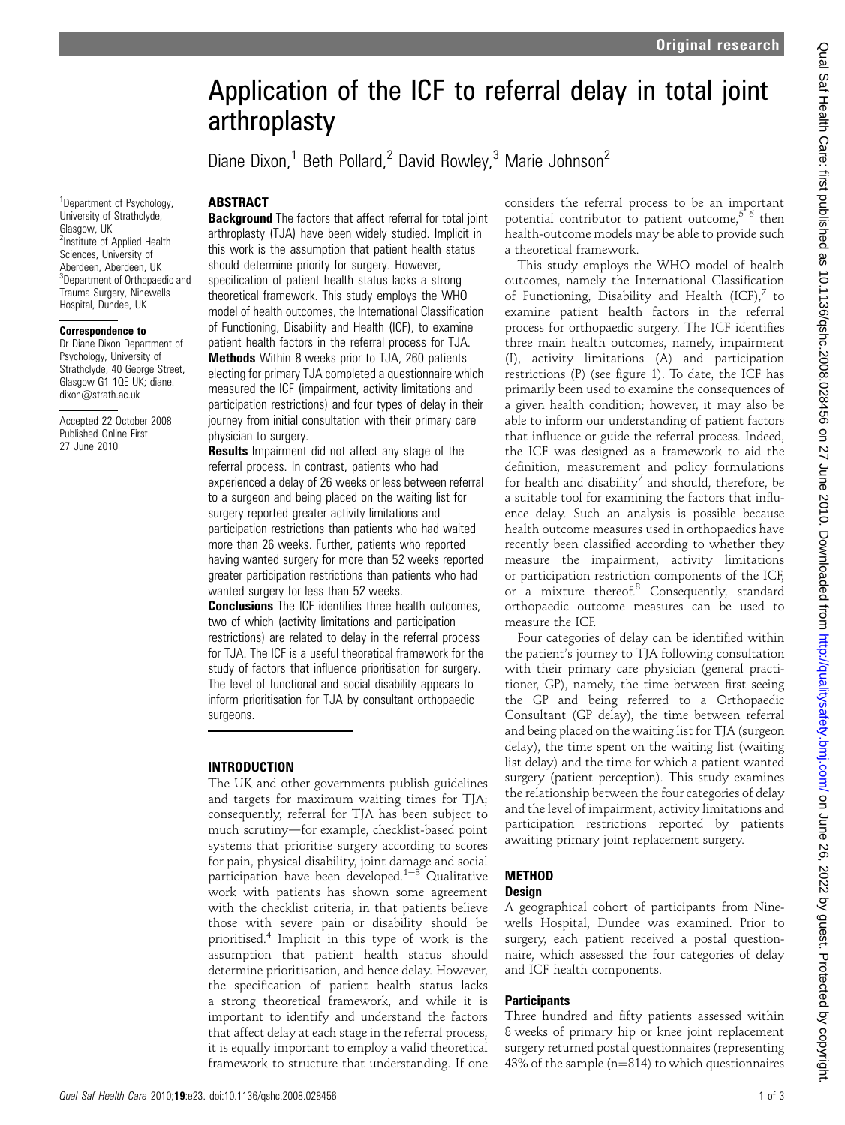# Application of the ICF to referral delay in total joint arthroplasty

Diane Dixon,<sup>1</sup> Beth Pollard,<sup>2</sup> David Rowley,<sup>3</sup> Marie Johnson<sup>2</sup>

# ABSTRACT

**Background** The factors that affect referral for total joint arthroplasty (TJA) have been widely studied. Implicit in this work is the assumption that patient health status should determine priority for surgery. However, specification of patient health status lacks a strong theoretical framework. This study employs the WHO model of health outcomes, the International Classification of Functioning, Disability and Health (ICF), to examine patient health factors in the referral process for TJA. Methods Within 8 weeks prior to TJA, 260 patients electing for primary TJA completed a questionnaire which measured the ICF (impairment, activity limitations and participation restrictions) and four types of delay in their journey from initial consultation with their primary care physician to surgery.

**Results** Impairment did not affect any stage of the referral process. In contrast, patients who had experienced a delay of 26 weeks or less between referral to a surgeon and being placed on the waiting list for surgery reported greater activity limitations and participation restrictions than patients who had waited more than 26 weeks. Further, patients who reported having wanted surgery for more than 52 weeks reported greater participation restrictions than patients who had wanted surgery for less than 52 weeks.

**Conclusions** The ICF identifies three health outcomes, two of which (activity limitations and participation restrictions) are related to delay in the referral process for TJA. The ICF is a useful theoretical framework for the study of factors that influence prioritisation for surgery. The level of functional and social disability appears to inform prioritisation for TJA by consultant orthopaedic surgeons.

# INTRODUCTION

The UK and other governments publish guidelines and targets for maximum waiting times for TJA; consequently, referral for TJA has been subject to much scrutiny-for example, checklist-based point systems that prioritise surgery according to scores for pain, physical disability, joint damage and social participation have been developed.<sup>1-3</sup> Qualitative work with patients has shown some agreement with the checklist criteria, in that patients believe those with severe pain or disability should be prioritised.<sup>4</sup> Implicit in this type of work is the assumption that patient health status should determine prioritisation, and hence delay. However, the specification of patient health status lacks a strong theoretical framework, and while it is important to identify and understand the factors that affect delay at each stage in the referral process, it is equally important to employ a valid theoretical framework to structure that understanding. If one considers the referral process to be an important potential contributor to patient outcome,<sup>5 6</sup> then health-outcome models may be able to provide such a theoretical framework.

This study employs the WHO model of health outcomes, namely the International Classification of Functioning, Disability and Health  ${(ICF)}$ , to examine patient health factors in the referral process for orthopaedic surgery. The ICF identifies three main health outcomes, namely, impairment (I), activity limitations (A) and participation restrictions (P) (see figure 1). To date, the ICF has primarily been used to examine the consequences of a given health condition; however, it may also be able to inform our understanding of patient factors that influence or guide the referral process. Indeed, the ICF was designed as a framework to aid the definition, measurement and policy formulations for health and disability<sup>7</sup> and should, therefore, be a suitable tool for examining the factors that influence delay. Such an analysis is possible because health outcome measures used in orthopaedics have recently been classified according to whether they measure the impairment, activity limitations or participation restriction components of the ICF, or a mixture thereof.<sup>8</sup> Consequently, standard orthopaedic outcome measures can be used to measure the ICF.

Four categories of delay can be identified within the patient's journey to TJA following consultation with their primary care physician (general practitioner, GP), namely, the time between first seeing the GP and being referred to a Orthopaedic Consultant (GP delay), the time between referral and being placed on the waiting list for TJA (surgeon delay), the time spent on the waiting list (waiting list delay) and the time for which a patient wanted surgery (patient perception). This study examines the relationship between the four categories of delay and the level of impairment, activity limitations and participation restrictions reported by patients awaiting primary joint replacement surgery.

# METHOD **Design**

# A geographical cohort of participants from Ninewells Hospital, Dundee was examined. Prior to surgery, each patient received a postal questionnaire, which assessed the four categories of delay and ICF health components.

# **Participants**

Three hundred and fifty patients assessed within 8 weeks of primary hip or knee joint replacement surgery returned postal questionnaires (representing 43% of the sample ( $n=814$ ) to which questionnaires

<sup>1</sup>Department of Psychology, University of Strathclyde, Glasgow, UK <sup>2</sup>Institute of Applied Health Sciences, University of Aberdeen, Aberdeen, UK <sup>3</sup>Department of Orthopaedic and Trauma Surgery, Ninewells Hospital, Dundee, UK

#### Correspondence to

Dr Diane Dixon Department of Psychology, University of Strathclyde, 40 George Street, Glasgow G1 1QE UK; diane. dixon@strath.ac.uk

Accepted 22 October 2008 Published Online First 27 June 2010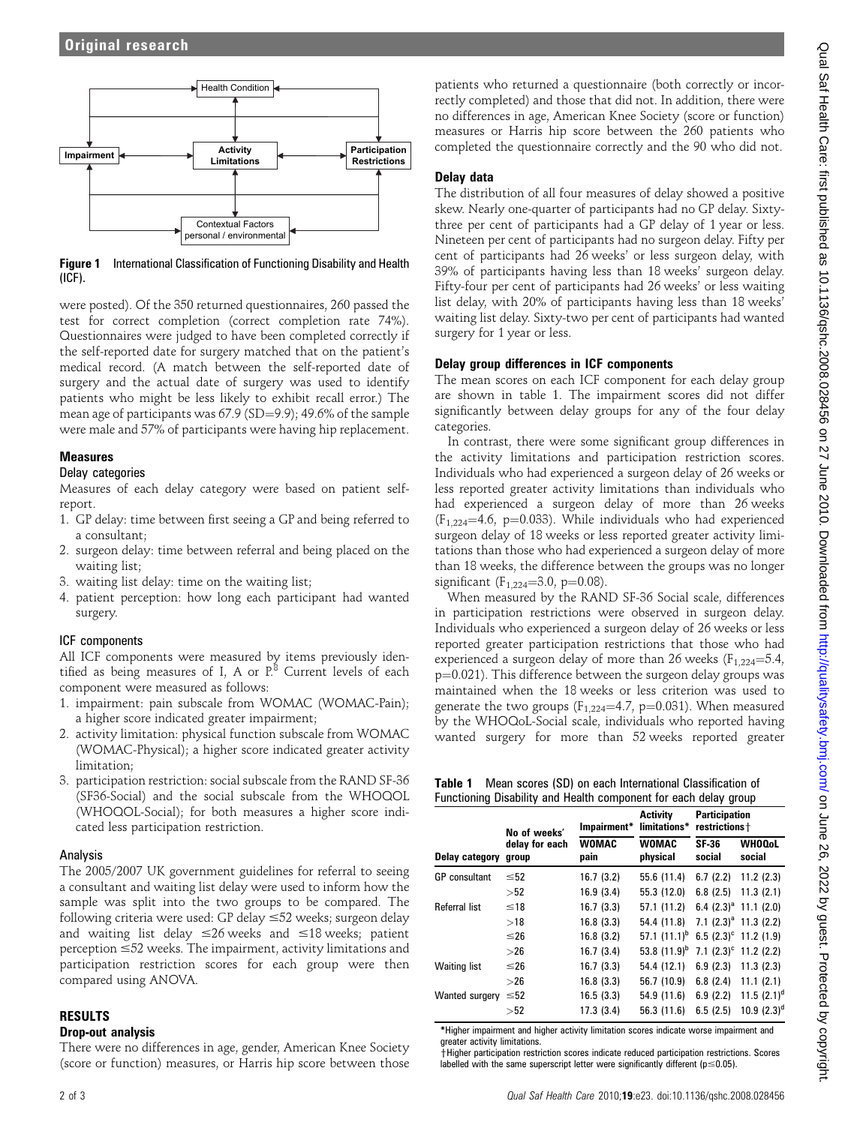

Figure 1 International Classification of Functioning Disability and Health (ICF).

were posted). Of the 350 returned questionnaires, 260 passed the test for correct completion (correct completion rate 74%). Questionnaires were judged to have been completed correctly if the self-reported date for surgery matched that on the patient's medical record. (A match between the self-reported date of surgery and the actual date of surgery was used to identify patients who might be less likely to exhibit recall error.) The mean age of participants was 67.9 (SD=9.9); 49.6% of the sample were male and 57% of participants were having hip replacement.

# Measures

# Delay categories

Measures of each delay category were based on patient selfreport.

- 1. GP delay: time between first seeing a GP and being referred to a consultant;
- 2. surgeon delay: time between referral and being placed on the waiting list;
- 3. waiting list delay: time on the waiting list;
- 4. patient perception: how long each participant had wanted surgery.

# ICF components

All ICF components were measured by items previously identified as being measures of I, A or P.<sup>8</sup> Current levels of each component were measured as follows:

- 1. impairment: pain subscale from WOMAC (WOMAC-Pain); a higher score indicated greater impairment;
- 2. activity limitation: physical function subscale from WOMAC (WOMAC-Physical); a higher score indicated greater activity limitation;
- 3. participation restriction: social subscale from the RAND SF-36 (SF36-Social) and the social subscale from the WHOQOL (WHOQOL-Social); for both measures a higher score indicated less participation restriction.

# Analysis

The 2005/2007 UK government guidelines for referral to seeing a consultant and waiting list delay were used to inform how the sample was split into the two groups to be compared. The following criteria were used: GP delay  $\leq 52$  weeks; surgeon delay and waiting list delay  $\leq 26$  weeks and  $\leq 18$  weeks; patient perception  $\leq$ 52 weeks. The impairment, activity limitations and participation restriction scores for each group were then compared using ANOVA.

# RESULTS

# Drop-out analysis

There were no differences in age, gender, American Knee Society (score or function) measures, or Harris hip score between those

patients who returned a questionnaire (both correctly or incorrectly completed) and those that did not. In addition, there were no differences in age, American Knee Society (score or function) measures or Harris hip score between the 260 patients who completed the questionnaire correctly and the 90 who did not.

# Delay data

The distribution of all four measures of delay showed a positive skew. Nearly one-quarter of participants had no GP delay. Sixtythree per cent of participants had a GP delay of 1 year or less. Nineteen per cent of participants had no surgeon delay. Fifty per cent of participants had 26 weeks' or less surgeon delay, with 39% of participants having less than 18 weeks' surgeon delay. Fifty-four per cent of participants had 26 weeks' or less waiting list delay, with 20% of participants having less than 18 weeks' waiting list delay. Sixty-two per cent of participants had wanted surgery for 1 year or less.

# Delay group differences in ICF components

The mean scores on each ICF component for each delay group are shown in table 1. The impairment scores did not differ significantly between delay groups for any of the four delay categories.

In contrast, there were some significant group differences in the activity limitations and participation restriction scores. Individuals who had experienced a surgeon delay of 26 weeks or less reported greater activity limitations than individuals who had experienced a surgeon delay of more than 26 weeks  $(F_{1,224} = 4.6, p=0.033)$ . While individuals who had experienced surgeon delay of 18 weeks or less reported greater activity limitations than those who had experienced a surgeon delay of more than 18 weeks, the difference between the groups was no longer significant (F<sub>1,224</sub>=3.0, p=0.08).

When measured by the RAND SF-36 Social scale, differences in participation restrictions were observed in surgeon delay. Individuals who experienced a surgeon delay of 26 weeks or less reported greater participation restrictions that those who had experienced a surgeon delay of more than 26 weeks  $(F_{1,224} = 5.4,$  $p=0.021$ ). This difference between the surgeon delay groups was maintained when the 18 weeks or less criterion was used to generate the two groups ( $F_{1,224}$ =4.7, p=0.031). When measured by the WHOQoL-Social scale, individuals who reported having wanted surgery for more than 52 weeks reported greater

| Table 1 | Mean scores (SD) on each International Classification of         |
|---------|------------------------------------------------------------------|
|         | Functioning Disability and Health component for each delay group |

|                      | No of weeks'<br>delay for each<br>group | Impairment*<br><b>WOMAC</b><br>pain | <b>Activity</b><br>limitations*            | <b>Participation</b><br>restrictions + |                            |
|----------------------|-----------------------------------------|-------------------------------------|--------------------------------------------|----------------------------------------|----------------------------|
| Delay category       |                                         |                                     | <b>WOMAC</b><br>physical                   | <b>SF-36</b><br>social                 | <b>WHOOoL</b><br>social    |
| <b>GP</b> consultant | $\leq 52$                               | 16.7(3.2)                           | 55.6 (11.4)                                | 6.7(2.2)                               | 11.2(2.3)                  |
|                      | >52                                     | 16.9(3.4)                           | 55.3 (12.0)                                | 6.8(2.5)                               | 11.3(2.1)                  |
| <b>Referral list</b> | ≤18                                     | 16.7(3.3)                           | 57.1 (11.2)                                |                                        | 6.4 $(2.3)^a$ 11.1 $(2.0)$ |
|                      | >18                                     | 16.8(3.3)                           | 54.4 (11.8)                                |                                        | 7.1 $(2.3)^a$ 11.3 $(2.2)$ |
|                      | $≤26$                                   | 16.8(3.2)                           | 57.1 $(11.1)^b$ 6.5 $(2.3)^c$ 11.2 $(1.9)$ |                                        |                            |
|                      | >26                                     | 16.7(3.4)                           | 53.8 $(11.9)^b$ 7.1 $(2.3)^c$ 11.2 $(2.2)$ |                                        |                            |
| <b>Waiting list</b>  | $≤26$                                   | 16.7(3.3)                           | 54.4 (12.1)                                | 6.9(2.3)                               | 11.3(2.3)                  |
|                      | >26                                     | 16.8(3.3)                           | 56.7 (10.9)                                | 6.8(2.4)                               | 11.1(2.1)                  |
| Wanted surgery       | $\leq 52$                               | 16.5(3.3)                           | 54.9 (11.6)                                | 6.9(2.2)                               | 11.5 $(2.1)$ <sup>c</sup>  |
|                      | >52                                     | 17.3(3.4)                           | 56.3 (11.6)                                | 6.5(2.5)                               | 10.9 $(2.3)^c$             |

\*Higher impairment and higher activity limitation scores indicate worse impairment and greater activity limitations.

† Higher participation restriction scores indicate reduced participation restrictions. Scores labelled with the same superscript letter were significantly different ( $p \le 0.05$ ).